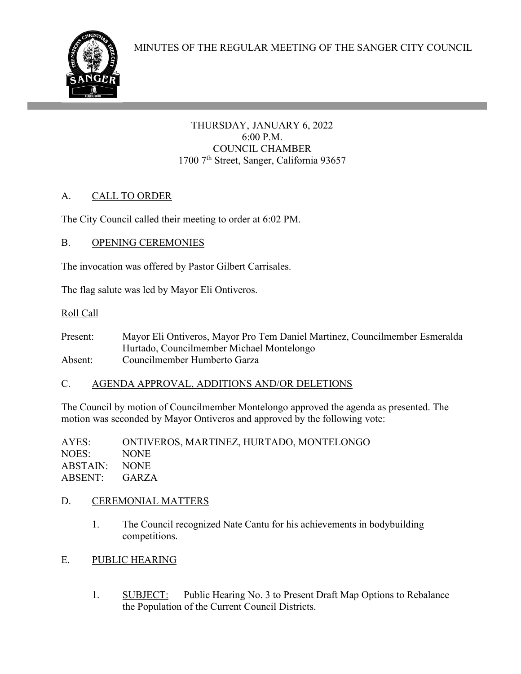

THURSDAY, JANUARY 6, 2022 6:00 P.M. COUNCIL CHAMBER 1700 7<sup>th</sup> Street, Sanger, California 93657

# A. CALL TO ORDER

The City Council called their meeting to order at 6:02 PM.

## B. OPENING CEREMONIES

ł

The invocation was offered by Pastor Gilbert Carrisales.

The flag salute was led by Mayor Eli Ontiveros.

### Roll Call

Present: Mayor Eli Ontiveros, Mayor Pro Tem Daniel Martinez, Councilmember Esmeralda Hurtado, Councilmember Michael Montelongo Absent: Councilmember Humberto Garza

## C. AGENDA APPROVAL, ADDITIONS AND/OR DELETIONS

The Council by motion of Councilmember Montelongo approved the agenda as presented. The motion was seconded by Mayor Ontiveros and approved by the following vote:

AYES: ONTIVEROS, MARTINEZ, HURTADO, MONTELONGO NOES: NONE ABSTAIN: NONE ABSENT: GARZA

## D. CEREMONIAL MATTERS

- 1. The Council recognized Nate Cantu for his achievements in bodybuilding competitions.
- E. PUBLIC HEARING
	- 1. SUBJECT: Public Hearing No. 3 to Present Draft Map Options to Rebalance the Population of the Current Council Districts.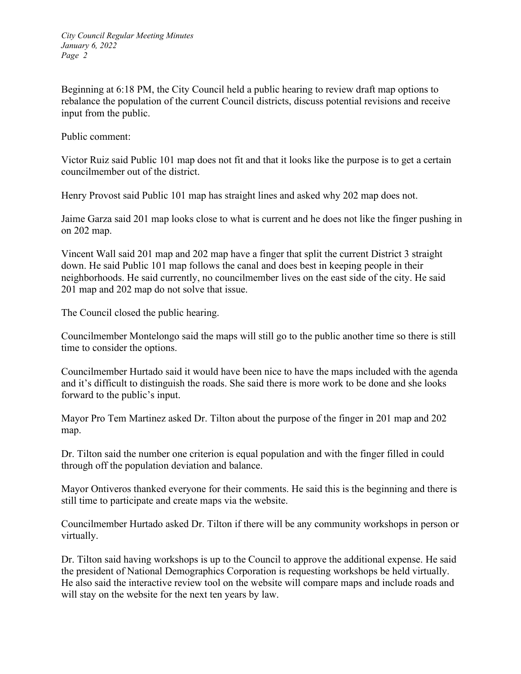Beginning at 6:18 PM, the City Council held a public hearing to review draft map options to rebalance the population of the current Council districts, discuss potential revisions and receive input from the public.

Public comment:

Victor Ruiz said Public 101 map does not fit and that it looks like the purpose is to get a certain councilmember out of the district.

Henry Provost said Public 101 map has straight lines and asked why 202 map does not.

Jaime Garza said 201 map looks close to what is current and he does not like the finger pushing in on 202 map.

Vincent Wall said 201 map and 202 map have a finger that split the current District 3 straight down. He said Public 101 map follows the canal and does best in keeping people in their neighborhoods. He said currently, no councilmember lives on the east side of the city. He said 201 map and 202 map do not solve that issue.

The Council closed the public hearing.

Councilmember Montelongo said the maps will still go to the public another time so there is still time to consider the options.

Councilmember Hurtado said it would have been nice to have the maps included with the agenda and it's difficult to distinguish the roads. She said there is more work to be done and she looks forward to the public's input.

Mayor Pro Tem Martinez asked Dr. Tilton about the purpose of the finger in 201 map and 202 map.

Dr. Tilton said the number one criterion is equal population and with the finger filled in could through off the population deviation and balance.

Mayor Ontiveros thanked everyone for their comments. He said this is the beginning and there is still time to participate and create maps via the website.

Councilmember Hurtado asked Dr. Tilton if there will be any community workshops in person or virtually.

Dr. Tilton said having workshops is up to the Council to approve the additional expense. He said the president of National Demographics Corporation is requesting workshops be held virtually. He also said the interactive review tool on the website will compare maps and include roads and will stay on the website for the next ten years by law.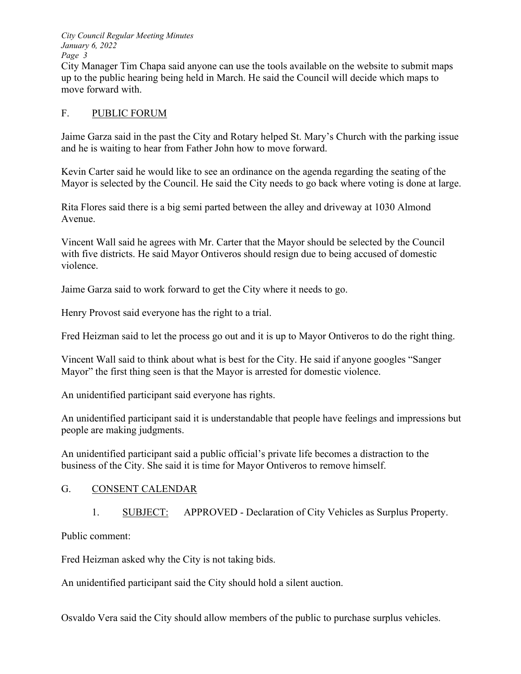*City Council Regular Meeting Minutes January 6, 2022 Page 3* 

City Manager Tim Chapa said anyone can use the tools available on the website to submit maps up to the public hearing being held in March. He said the Council will decide which maps to move forward with.

#### F. PUBLIC FORUM

Jaime Garza said in the past the City and Rotary helped St. Mary's Church with the parking issue and he is waiting to hear from Father John how to move forward.

Kevin Carter said he would like to see an ordinance on the agenda regarding the seating of the Mayor is selected by the Council. He said the City needs to go back where voting is done at large.

Rita Flores said there is a big semi parted between the alley and driveway at 1030 Almond Avenue.

Vincent Wall said he agrees with Mr. Carter that the Mayor should be selected by the Council with five districts. He said Mayor Ontiveros should resign due to being accused of domestic violence.

Jaime Garza said to work forward to get the City where it needs to go.

Henry Provost said everyone has the right to a trial.

Fred Heizman said to let the process go out and it is up to Mayor Ontiveros to do the right thing.

Vincent Wall said to think about what is best for the City. He said if anyone googles "Sanger Mayor" the first thing seen is that the Mayor is arrested for domestic violence.

An unidentified participant said everyone has rights.

An unidentified participant said it is understandable that people have feelings and impressions but people are making judgments.

An unidentified participant said a public official's private life becomes a distraction to the business of the City. She said it is time for Mayor Ontiveros to remove himself.

## G. CONSENT CALENDAR

1. SUBJECT: APPROVED - Declaration of City Vehicles as Surplus Property.

Public comment:

Fred Heizman asked why the City is not taking bids.

An unidentified participant said the City should hold a silent auction.

Osvaldo Vera said the City should allow members of the public to purchase surplus vehicles.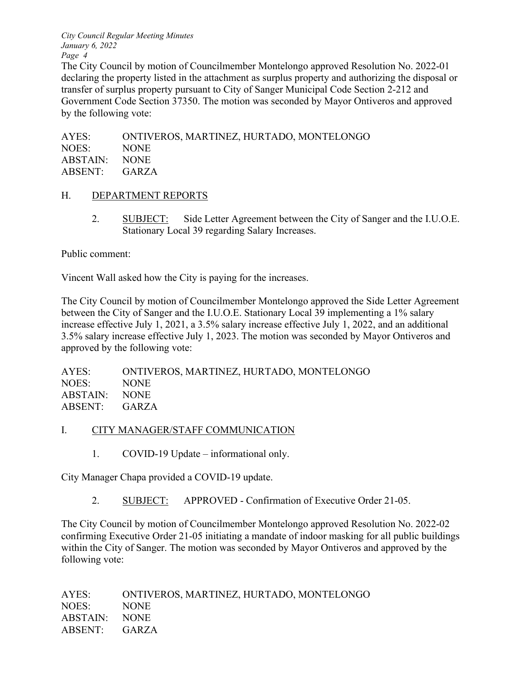*City Council Regular Meeting Minutes January 6, 2022 Page 4* 

The City Council by motion of Councilmember Montelongo approved Resolution No. 2022-01 declaring the property listed in the attachment as surplus property and authorizing the disposal or transfer of surplus property pursuant to City of Sanger Municipal Code Section 2-212 and Government Code Section 37350. The motion was seconded by Mayor Ontiveros and approved by the following vote:

AYES: ONTIVEROS, MARTINEZ, HURTADO, MONTELONGO NOES: NONE ABSTAIN: NONE ABSENT: GARZA

#### H. DEPARTMENT REPORTS

2. SUBJECT: Side Letter Agreement between the City of Sanger and the I.U.O.E. Stationary Local 39 regarding Salary Increases.

Public comment:

Vincent Wall asked how the City is paying for the increases.

The City Council by motion of Councilmember Montelongo approved the Side Letter Agreement between the City of Sanger and the I.U.O.E. Stationary Local 39 implementing a 1% salary increase effective July 1, 2021, a 3.5% salary increase effective July 1, 2022, and an additional 3.5% salary increase effective July 1, 2023. The motion was seconded by Mayor Ontiveros and approved by the following vote:

| AYES:         | ONTIVEROS, MARTINEZ, HURTADO, MONTELONGO |
|---------------|------------------------------------------|
| NOES:         | NONE.                                    |
| ABSTAIN: NONE |                                          |
| ABSENT: GARZA |                                          |

#### I. CITY MANAGER/STAFF COMMUNICATION

1. COVID-19 Update – informational only.

City Manager Chapa provided a COVID-19 update.

2. SUBJECT: APPROVED - Confirmation of Executive Order 21-05.

The City Council by motion of Councilmember Montelongo approved Resolution No. 2022-02 confirming Executive Order 21-05 initiating a mandate of indoor masking for all public buildings within the City of Sanger. The motion was seconded by Mayor Ontiveros and approved by the following vote:

| AYES:         | ONTIVEROS, MARTINEZ, HURTADO, MONTELONGO |
|---------------|------------------------------------------|
| NOES:         | <b>NONE</b>                              |
| ABSTAIN: NONE |                                          |
| ABSENT: GARZA |                                          |